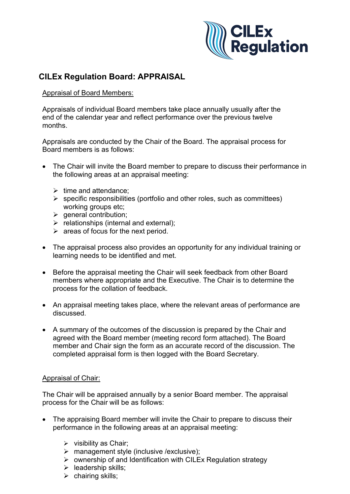

### **CILEx Regulation Board: APPRAISAL**

### Appraisal of Board Members:

Appraisals of individual Board members take place annually usually after the end of the calendar year and reflect performance over the previous twelve months.

Appraisals are conducted by the Chair of the Board. The appraisal process for Board members is as follows:

- The Chair will invite the Board member to prepare to discuss their performance in the following areas at an appraisal meeting:
	- $\triangleright$  time and attendance:
	- $\triangleright$  specific responsibilities (portfolio and other roles, such as committees) working groups etc;
	- $\triangleright$  general contribution;
	- $\triangleright$  relationships (internal and external);
	- $\triangleright$  areas of focus for the next period.
- The appraisal process also provides an opportunity for any individual training or learning needs to be identified and met.
- Before the appraisal meeting the Chair will seek feedback from other Board members where appropriate and the Executive. The Chair is to determine the process for the collation of feedback.
- An appraisal meeting takes place, where the relevant areas of performance are discussed.
- A summary of the outcomes of the discussion is prepared by the Chair and agreed with the Board member (meeting record form attached). The Board member and Chair sign the form as an accurate record of the discussion. The completed appraisal form is then logged with the Board Secretary.

### Appraisal of Chair:

The Chair will be appraised annually by a senior Board member. The appraisal process for the Chair will be as follows:

- The appraising Board member will invite the Chair to prepare to discuss their performance in the following areas at an appraisal meeting:
	- $\triangleright$  visibility as Chair;
	- $\triangleright$  management style (inclusive /exclusive);
	- $\triangleright$  ownership of and Identification with CILEx Regulation strategy
	- $\triangleright$  leadership skills;
	- $\triangleright$  chairing skills;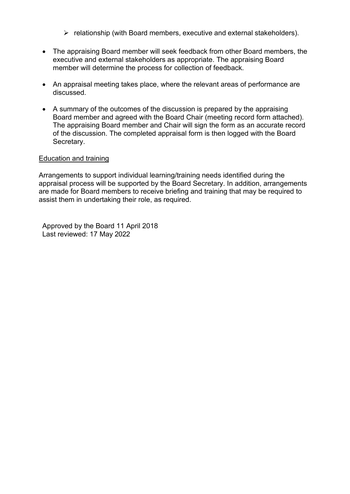- $\triangleright$  relationship (with Board members, executive and external stakeholders).
- The appraising Board member will seek feedback from other Board members, the executive and external stakeholders as appropriate. The appraising Board member will determine the process for collection of feedback.
- An appraisal meeting takes place, where the relevant areas of performance are discussed.
- A summary of the outcomes of the discussion is prepared by the appraising Board member and agreed with the Board Chair (meeting record form attached). The appraising Board member and Chair will sign the form as an accurate record of the discussion. The completed appraisal form is then logged with the Board Secretary.

### Education and training

Arrangements to support individual learning/training needs identified during the appraisal process will be supported by the Board Secretary. In addition, arrangements are made for Board members to receive briefing and training that may be required to assist them in undertaking their role, as required.

Approved by the Board 11 April 2018 Last reviewed: 17 May 2022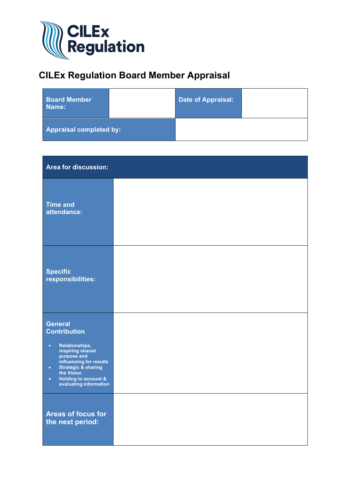

## **CILEx Regulation Board Member Appraisal**

| <b>Board Member</b><br>Name: |  | Date of Appraisal: |  |
|------------------------------|--|--------------------|--|
| Appraisal completed by:      |  |                    |  |

| Area for discussion:                                                                                                                                                                                                                                    |  |
|---------------------------------------------------------------------------------------------------------------------------------------------------------------------------------------------------------------------------------------------------------|--|
| <b>Time and</b><br>attendance:                                                                                                                                                                                                                          |  |
| <b>Specific</b><br>responsibilities:                                                                                                                                                                                                                    |  |
| <b>General</b><br>Contribution<br>Relationships,<br>$\bullet$<br>inspiring shared<br>purpose and<br>influencing for results<br><b>Strategic &amp; sharing</b><br>$\bullet$<br>the Vision<br>Holding to account &<br>$\bullet$<br>evaluating information |  |
| <b>Areas of focus for</b><br>the next period:                                                                                                                                                                                                           |  |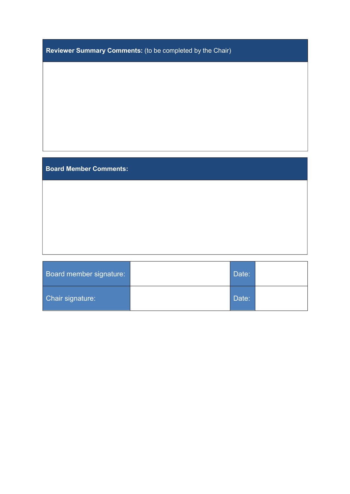| Reviewer Summary Comments: (to be completed by the Chair) |  |  |  |  |
|-----------------------------------------------------------|--|--|--|--|
|-----------------------------------------------------------|--|--|--|--|

### **Board Member Comments:**

| Board member signature: | Date: |  |
|-------------------------|-------|--|
| Chair signature:        | Date: |  |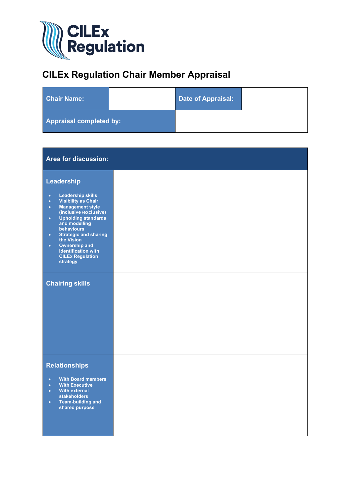

# **CILEx Regulation Chair Member Appraisal**

| <b>Chair Name:</b>             |  | Date of Appraisal: |  |
|--------------------------------|--|--------------------|--|
| <b>Appraisal completed by:</b> |  |                    |  |

| <b>Area for discussion:</b>                                                                                                                                                                                                                                                                                                                                                                              |  |
|----------------------------------------------------------------------------------------------------------------------------------------------------------------------------------------------------------------------------------------------------------------------------------------------------------------------------------------------------------------------------------------------------------|--|
| Leadership<br><b>Leadership skills</b><br>$\bullet$<br><b>Visibility as Chair</b><br>$\bullet$<br><b>Management style</b><br>$\bullet$<br>(inclusive /exclusive)<br><b>Upholding standards</b><br>$\bullet$<br>and modelling<br>behaviours<br><b>Strategic and sharing</b><br>$\bullet$<br>the Vision<br><b>Ownership and</b><br>$\bullet$<br>identification with<br><b>CILEx Regulation</b><br>strategy |  |
| <b>Chairing skills</b>                                                                                                                                                                                                                                                                                                                                                                                   |  |
| <b>Relationships</b><br><b>With Board members</b><br>$\bullet$<br><b>With Executive</b><br>$\bullet$<br><b>With external</b><br>$\bullet$<br><b>stakeholders</b><br><b>Team-building and</b><br>$\bullet$<br>shared purpose                                                                                                                                                                              |  |